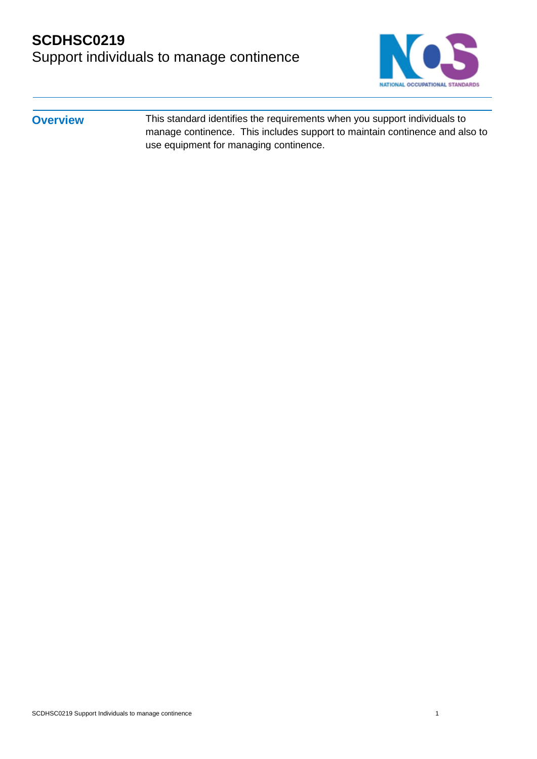

**Overview** This standard identifies the requirements when you support individuals to manage continence. This includes support to maintain continence and also to use equipment for managing continence.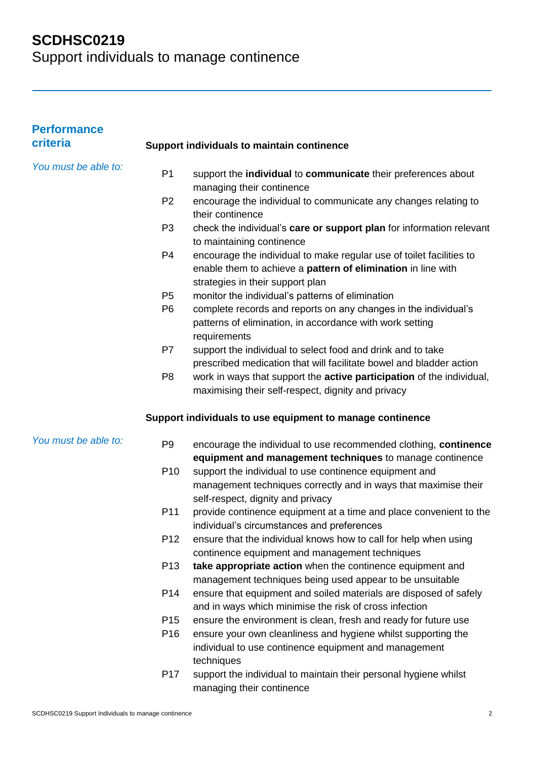| <b>Performance</b><br>criteria |                 | <b>Support individuals to maintain continence</b>                                                                                                                        |
|--------------------------------|-----------------|--------------------------------------------------------------------------------------------------------------------------------------------------------------------------|
| You must be able to:           | P <sub>1</sub>  | support the individual to communicate their preferences about<br>managing their continence                                                                               |
|                                | P <sub>2</sub>  | encourage the individual to communicate any changes relating to                                                                                                          |
|                                | P <sub>3</sub>  | their continence<br>check the individual's care or support plan for information relevant<br>to maintaining continence                                                    |
|                                | P <sub>4</sub>  | encourage the individual to make regular use of toilet facilities to<br>enable them to achieve a pattern of elimination in line with<br>strategies in their support plan |
|                                | P <sub>5</sub>  | monitor the individual's patterns of elimination                                                                                                                         |
|                                | P <sub>6</sub>  | complete records and reports on any changes in the individual's<br>patterns of elimination, in accordance with work setting<br>requirements                              |
|                                | P7              | support the individual to select food and drink and to take<br>prescribed medication that will facilitate bowel and bladder action                                       |
|                                | P <sub>8</sub>  | work in ways that support the active participation of the individual,<br>maximising their self-respect, dignity and privacy                                              |
|                                |                 | Support individuals to use equipment to manage continence                                                                                                                |
| You must be able to:           | P <sub>9</sub>  | encourage the individual to use recommended clothing, continence<br>equipment and management techniques to manage continence                                             |
|                                | P <sub>10</sub> | support the individual to use continence equipment and<br>management techniques correctly and in ways that maximise their<br>self-respect, dignity and privacy           |
|                                | P11             | provide continence equipment at a time and place convenient to the<br>individual's circumstances and preferences                                                         |
|                                | P <sub>12</sub> | ensure that the individual knows how to call for help when using<br>continence equipment and management techniques                                                       |
|                                | P <sub>13</sub> | take appropriate action when the continence equipment and<br>management techniques being used appear to be unsuitable                                                    |
|                                | P14             | ensure that equipment and soiled materials are disposed of safely<br>and in ways which minimise the risk of cross infection                                              |
|                                | P <sub>15</sub> | ensure the environment is clean, fresh and ready for future use                                                                                                          |
|                                | P <sub>16</sub> | ensure your own cleanliness and hygiene whilst supporting the<br>individual to use continence equipment and management<br>techniques                                     |
|                                | P <sub>17</sub> | support the individual to maintain their personal hygiene whilst<br>managing their continence                                                                            |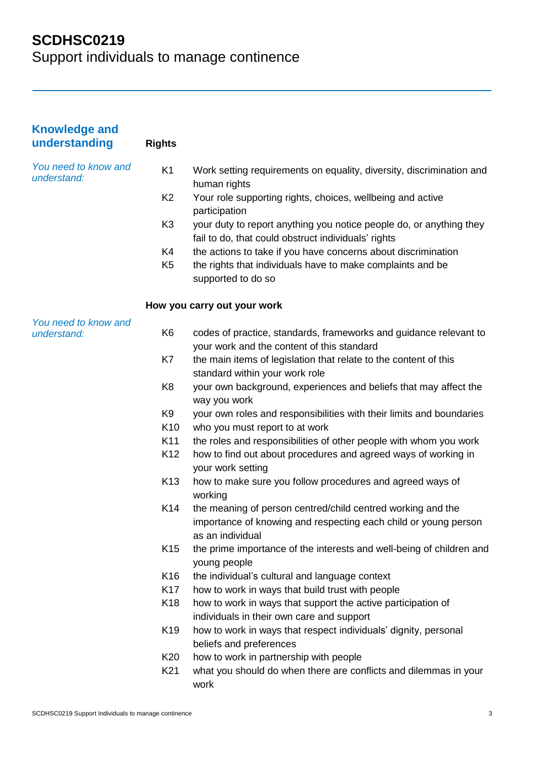| <b>Knowledge and</b><br>understanding | <b>Rights</b>   |                                                                                                                                                    |
|---------------------------------------|-----------------|----------------------------------------------------------------------------------------------------------------------------------------------------|
| You need to know and<br>understand:   | K <sub>1</sub>  | Work setting requirements on equality, diversity, discrimination and<br>human rights                                                               |
|                                       | K <sub>2</sub>  | Your role supporting rights, choices, wellbeing and active<br>participation                                                                        |
|                                       | K <sub>3</sub>  | your duty to report anything you notice people do, or anything they<br>fail to do, that could obstruct individuals' rights                         |
|                                       | K4              | the actions to take if you have concerns about discrimination                                                                                      |
|                                       | K <sub>5</sub>  | the rights that individuals have to make complaints and be<br>supported to do so                                                                   |
|                                       |                 | How you carry out your work                                                                                                                        |
| You need to know and<br>understand:   | K <sub>6</sub>  | codes of practice, standards, frameworks and guidance relevant to<br>your work and the content of this standard                                    |
|                                       | K7              | the main items of legislation that relate to the content of this<br>standard within your work role                                                 |
|                                       | K <sub>8</sub>  | your own background, experiences and beliefs that may affect the<br>way you work                                                                   |
|                                       | K <sub>9</sub>  | your own roles and responsibilities with their limits and boundaries                                                                               |
|                                       | K <sub>10</sub> | who you must report to at work                                                                                                                     |
|                                       | K11             | the roles and responsibilities of other people with whom you work                                                                                  |
|                                       | K <sub>12</sub> | how to find out about procedures and agreed ways of working in<br>your work setting                                                                |
|                                       | K <sub>13</sub> | how to make sure you follow procedures and agreed ways of<br>working                                                                               |
|                                       | K <sub>14</sub> | the meaning of person centred/child centred working and the<br>importance of knowing and respecting each child or young person<br>as an individual |
|                                       | K <sub>15</sub> | the prime importance of the interests and well-being of children and<br>young people                                                               |
|                                       | K <sub>16</sub> | the individual's cultural and language context                                                                                                     |
|                                       | K <sub>17</sub> | how to work in ways that build trust with people                                                                                                   |
|                                       | K18             | how to work in ways that support the active participation of<br>individuals in their own care and support                                          |
|                                       | K <sub>19</sub> | how to work in ways that respect individuals' dignity, personal<br>beliefs and preferences                                                         |
|                                       | K <sub>20</sub> | how to work in partnership with people                                                                                                             |
|                                       | K <sub>21</sub> | what you should do when there are conflicts and dilemmas in your<br>work                                                                           |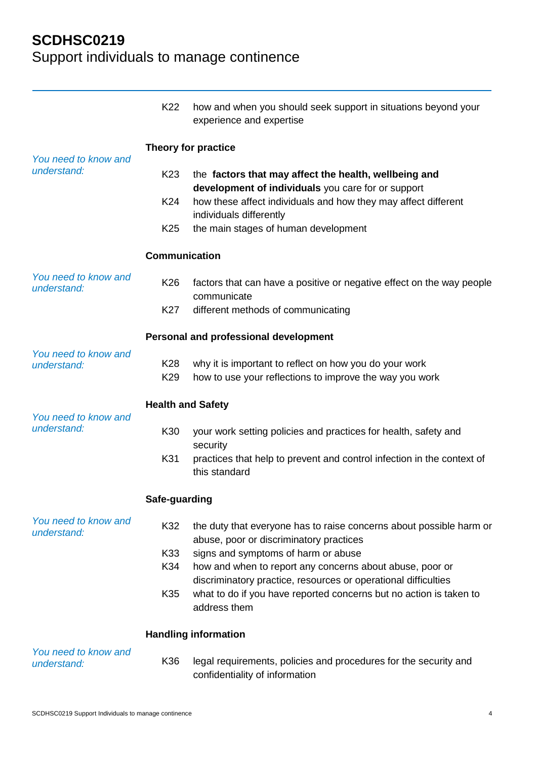|                                     | K22                      | how and when you should seek support in situations beyond your<br>experience and expertise                                           |  |
|-------------------------------------|--------------------------|--------------------------------------------------------------------------------------------------------------------------------------|--|
| You need to know and<br>understand: | Theory for practice      |                                                                                                                                      |  |
|                                     | K <sub>23</sub>          | the factors that may affect the health, wellbeing and<br>development of individuals you care for or support                          |  |
|                                     | K24                      | how these affect individuals and how they may affect different<br>individuals differently                                            |  |
|                                     | K <sub>25</sub>          | the main stages of human development                                                                                                 |  |
|                                     | <b>Communication</b>     |                                                                                                                                      |  |
| You need to know and<br>understand: | K <sub>26</sub>          | factors that can have a positive or negative effect on the way people<br>communicate                                                 |  |
|                                     | K <sub>27</sub>          | different methods of communicating                                                                                                   |  |
|                                     |                          | Personal and professional development                                                                                                |  |
| You need to know and<br>understand: | K28<br>K <sub>29</sub>   | why it is important to reflect on how you do your work<br>how to use your reflections to improve the way you work                    |  |
|                                     | <b>Health and Safety</b> |                                                                                                                                      |  |
| You need to know and<br>understand: | K30                      | your work setting policies and practices for health, safety and<br>security                                                          |  |
|                                     | K31                      | practices that help to prevent and control infection in the context of<br>this standard                                              |  |
|                                     | Safe-guarding            |                                                                                                                                      |  |
| You need to know and<br>understand: | K32                      | the duty that everyone has to raise concerns about possible harm or<br>abuse, poor or discriminatory practices                       |  |
|                                     | K33<br>K34               | signs and symptoms of harm or abuse<br>how and when to report any concerns about abuse, poor or                                      |  |
|                                     | K35                      | discriminatory practice, resources or operational difficulties<br>what to do if you have reported concerns but no action is taken to |  |
|                                     |                          | address them                                                                                                                         |  |
|                                     |                          | <b>Handling information</b>                                                                                                          |  |
| You need to know and<br>understand: | K36                      | legal requirements, policies and procedures for the security and<br>confidentiality of information                                   |  |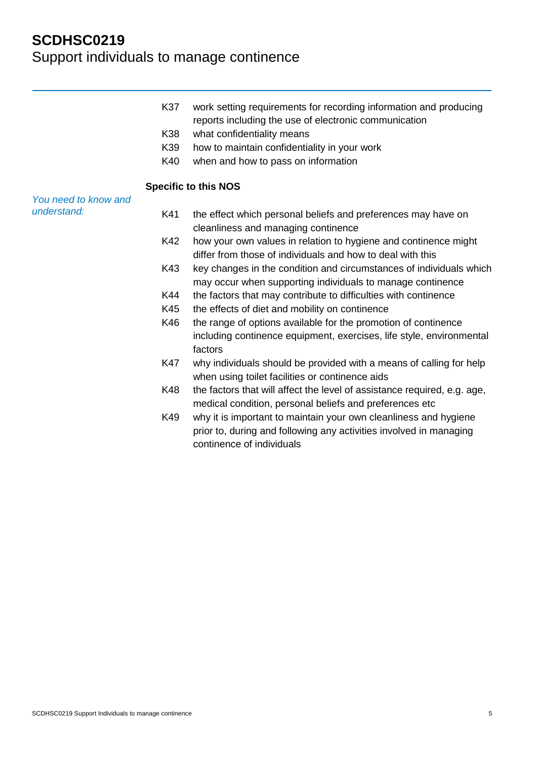| K37 | work setting requirements for recording information and producing |
|-----|-------------------------------------------------------------------|
|     | reports including the use of electronic communication             |

- K38 what confidentiality means
- K39 how to maintain confidentiality in your work
- K40 when and how to pass on information

#### **Specific to this NOS**

*You need to know and understand:*

- K41 the effect which personal beliefs and preferences may have on cleanliness and managing continence
- K42 how your own values in relation to hygiene and continence might differ from those of individuals and how to deal with this
- K43 key changes in the condition and circumstances of individuals which may occur when supporting individuals to manage continence
- K44 the factors that may contribute to difficulties with continence
- K45 the effects of diet and mobility on continence
- K46 the range of options available for the promotion of continence including continence equipment, exercises, life style, environmental factors
- K47 why individuals should be provided with a means of calling for help when using toilet facilities or continence aids
- K48 the factors that will affect the level of assistance required, e.g. age, medical condition, personal beliefs and preferences etc
- K49 why it is important to maintain your own cleanliness and hygiene prior to, during and following any activities involved in managing continence of individuals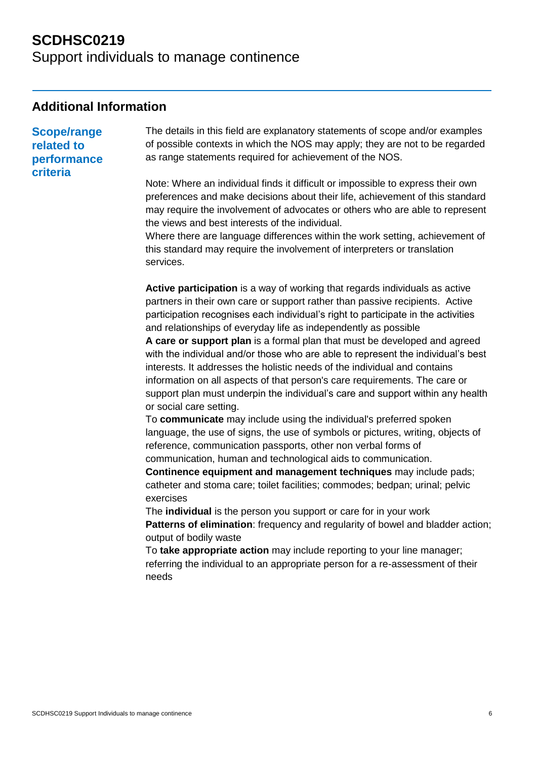#### **Additional Information**

**Scope/range related to performance criteria**

The details in this field are explanatory statements of scope and/or examples of possible contexts in which the NOS may apply; they are not to be regarded as range statements required for achievement of the NOS.

Note: Where an individual finds it difficult or impossible to express their own preferences and make decisions about their life, achievement of this standard may require the involvement of advocates or others who are able to represent the views and best interests of the individual.

Where there are language differences within the work setting, achievement of this standard may require the involvement of interpreters or translation services.

**Active participation** is a way of working that regards individuals as active partners in their own care or support rather than passive recipients. Active participation recognises each individual's right to participate in the activities and relationships of everyday life as independently as possible

**A care or support plan** is a formal plan that must be developed and agreed with the individual and/or those who are able to represent the individual's best interests. It addresses the holistic needs of the individual and contains information on all aspects of that person's care requirements. The care or support plan must underpin the individual's care and support within any health or social care setting.

To **communicate** may include using the individual's preferred spoken language, the use of signs, the use of symbols or pictures, writing, objects of reference, communication passports, other non verbal forms of communication, human and technological aids to communication.

**Continence equipment and management techniques** may include pads: catheter and stoma care; toilet facilities; commodes; bedpan; urinal; pelvic exercises

The **individual** is the person you support or care for in your work **Patterns of elimination**: frequency and regularity of bowel and bladder action; output of bodily waste

To **take appropriate action** may include reporting to your line manager; referring the individual to an appropriate person for a re-assessment of their needs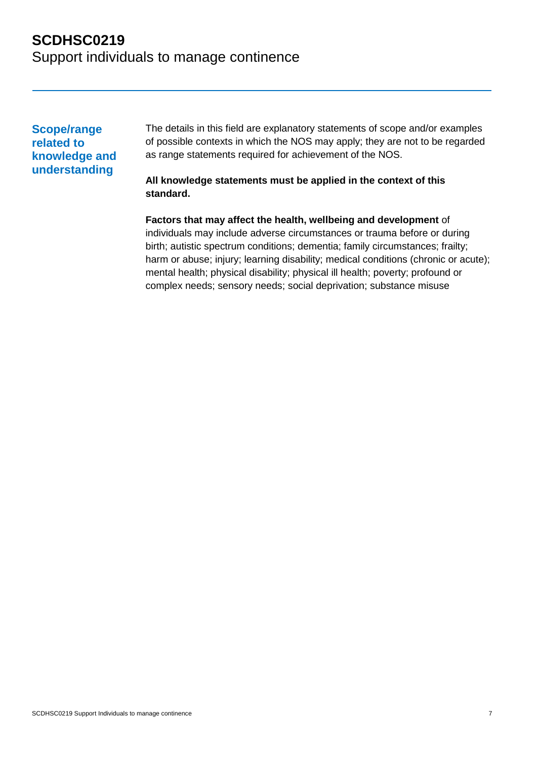**Scope/range related to knowledge and understanding**

The details in this field are explanatory statements of scope and/or examples of possible contexts in which the NOS may apply; they are not to be regarded as range statements required for achievement of the NOS.

#### **All knowledge statements must be applied in the context of this standard.**

**Factors that may affect the health, wellbeing and development** of individuals may include adverse circumstances or trauma before or during birth; autistic spectrum conditions; dementia; family circumstances; frailty; harm or abuse; injury; learning disability; medical conditions (chronic or acute); mental health; physical disability; physical ill health; poverty; profound or complex needs; sensory needs; social deprivation; substance misuse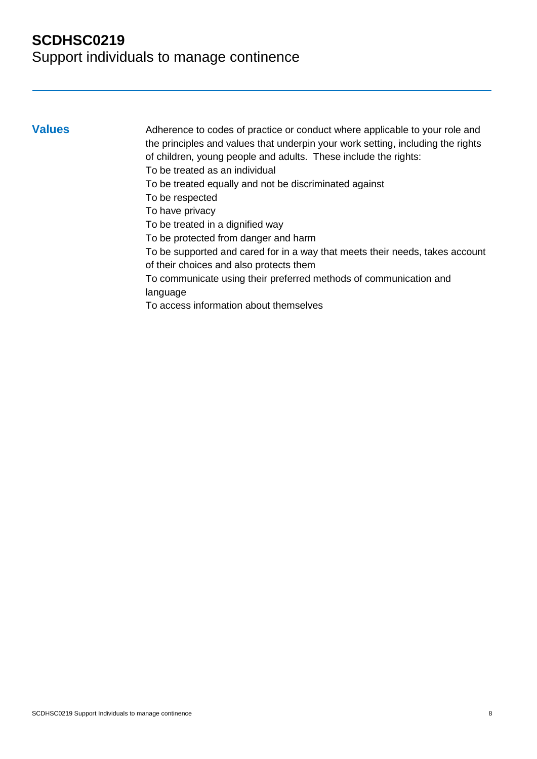**Values** Adherence to codes of practice or conduct where applicable to your role and the principles and values that underpin your work setting, including the rights of children, young people and adults. These include the rights: To be treated as an individual To be treated equally and not be discriminated against To be respected To have privacy To be treated in a dignified way To be protected from danger and harm To be supported and cared for in a way that meets their needs, takes account of their choices and also protects them To communicate using their preferred methods of communication and language To access information about themselves